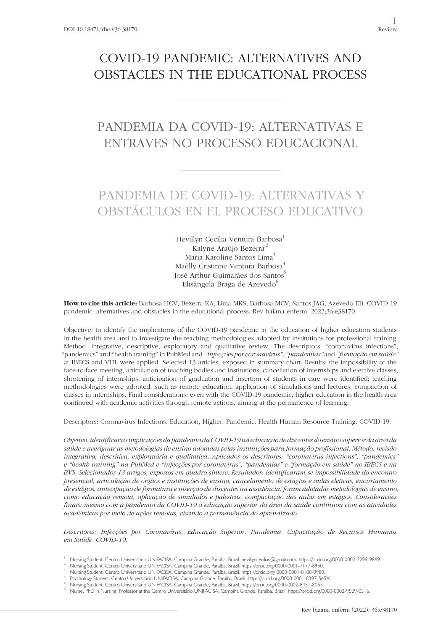## COVID-19 PANDEMIC: ALTERNATIVES AND OBSTACLES IN THE EDUCATIONAL PROCESS

# PANDEMIA DA COVID-19: ALTERNATIVAS E ENTRAVES NO PROCESSO EDUCACIONAL

# PANDEMIA DE COVID-19: ALTERNATIVAS Y OBSTÁCULOS EN EL PROCESO EDUCATIVO

Hevillyn Cecília Ventura Barbosa<sup>1</sup> Kalyne Araújo Bezerra<sup>2</sup> Maria Karoline Santos Lima<sup>3</sup> Maêlly Cristinne Ventura Barbosa<sup>4</sup> José Arthur Guimarães dos Santos<sup>5</sup> Elisângela Braga de Azevedo<sup>6</sup>

**How to cite this article:** Barbosa HCV, Bezerra KA, Lima MKS, Barbosa MCV, Santos JAG, Azevedo EB. COVID-19 pandemic: alternatives and obstacles in the educational process. Rev baiana enferm. 2022;36:e38170.

Objective: to identify the implications of the COVID-19 pandemic in the education of higher education students in the health area and to investigate the teaching methodologies adopted by institutions for professional training. Method: integrative, descriptive, exploratory and qualitative review. The descriptors: "coronavirus infections", "pandemics" and "health training" in PubMed and *"infecções por coronavirus", "pandemias"* and *"formação em saúde"* at IBECS and VHL were applied. Selected 13 articles, exposed in summary chart. Results: the impossibility of the face-to-face meeting, articulation of teaching bodies and institutions, cancellation of internships and elective classes, shortening of internships, anticipation of graduation and insertion of students in care were identified; teaching methodologies were adopted, such as remote education, application of simulations and lectures, compaction of classes in internships. Final considerations: even with the COVID-19 pandemic, higher education in the health area continued with academic activities through remote actions, aiming at the permanence of learning.

Descriptors: Coronavirus Infections. Education, Higher. Pandemic. Health Human Resource Training. COVID-19.

*Objetivo: identificar as implicações da pandemia da COVID-19 na educação de discentes do ensino superior da área da saúde e averiguar as metodologias de ensino adotadas pelas instituições para formação profissional. Método: revisão integrativa, descritiva, exploratória e qualitativa. Aplicados os descritores: "coronavirus infections", "pandemics" e "health training" na PubMed e "infecções por coronavirus", "pandemias" e "formação em saúde" no IBECS e na BVS. Selecionados 13 artigos, expostos em quadro síntese. Resultados: identificaram-se impossibilidade do encontro presencial, articulação de órgãos e instituições de ensino, cancelamento de estágios e aulas eletivas, encurtamento de estágios, antecipação de formatura e inserção de discentes na assistência; foram adotadas metodologias de ensino, como educação remota, aplicação de simulados e palestras, compactação das aulas em estágios. Considerações finais: mesmo com a pandemia da COVID-19 a educação superior da área da saúde continuou com as atividades acadêmicas por meio de ações remotas, visando a permanência do aprendizado.*

*Descritores: Infecções por Coronavírus. Educação Superior. Pandemia. Capacitação de Recursos Humanos em Saúde. COVID-19.*

<sup>1</sup> Nursing Student. Centro Universitário UNIFACISA. Campina Grande, Paraíba, Brazil. hevillynceciliav@gmail.com. https://orcid.org/0000-0002-2299-9869.

<sup>2</sup> Nursing Student. Centro Universitário UNIFACISA. Campina Grande, Paraíba, Brazil. https://orcid.org/0000-0001-7177-8950.

<sup>3</sup> Nursing Student. Centro Universitário UNIFACISA. Campina Grande, Paraíba, Brazil. https://orcid.org/ 0000-0001-8108-9980.

Psychology Student. Centro Universitário UNIFACISA. Campina Grande, Paraíba, Brazil. https://orcid.org/0000-0001-8397-545X.

<sup>5</sup> Nursing Student. Centro Universitário UNIFACISA. Campina Grande, Paraíba, Brazil. https://orcid.org/0000-0002-8451-8055.

<sup>6</sup> Nurse. PhD in Nursing. Professor at the Centro Universitário UNIFACISA. Campina Grande, Paraíba, Brazil. https://orcid.org/0000-0002-9529-0316.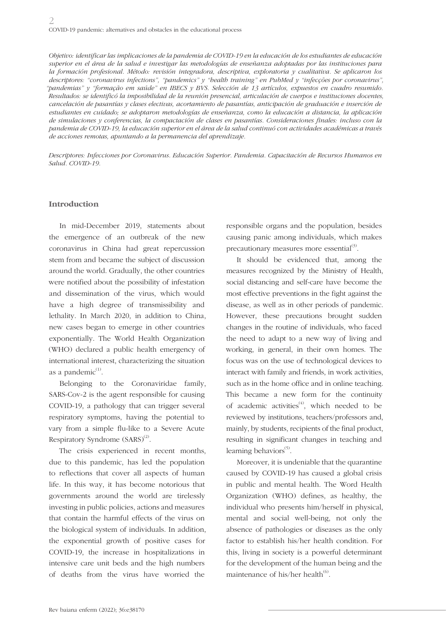*Objetivo: identificar las implicaciones de la pandemia de COVID-19 en la educación de los estudiantes de educación superior en el área de la salud e investigar las metodologías de enseñanza adoptadas por las instituciones para la formación profesional. Método: revisión integradora, descriptiva, exploratoria y cualitativa. Se aplicaron los descriptores: "coronavirus infections", "pandemics" y "health training" en PubMed y "infecções por coronavirus", "pandemias" y "formação em saúde" en IBECS y BVS. Selección de 13 artículos, expuestos en cuadro resumido. Resultados: se identificó la imposibilidad de la reunión presencial, articulación de cuerpos e instituciones docentes, cancelación de pasantías y clases electivas, acortamiento de pasantías, anticipación de graduación e inserción de estudiantes en cuidado; se adoptaron metodologías de enseñanza, como la educación a distancia, la aplicación de simulaciones y conferencias, la compactación de clases en pasantías. Consideraciones finales: incluso con la pandemia de COVID-19, la educación superior en el área de la salud continuó con actividades académicas a través de acciones remotas, apuntando a la permanencia del aprendizaje.*

*Descriptores: Infecciones por Coronavirus. Educación Superior. Pandemia. Capacitación de Recursos Humanos en Salud. COVID-19.*

#### **Introduction**

In mid-December 2019, statements about the emergence of an outbreak of the new coronavirus in China had great repercussion stem from and became the subject of discussion around the world. Gradually, the other countries were notified about the possibility of infestation and dissemination of the virus, which would have a high degree of transmissibility and lethality. In March 2020, in addition to China, new cases began to emerge in other countries exponentially. The World Health Organization (WHO) declared a public health emergency of international interest, characterizing the situation as a pandemic $<sup>(1)</sup>$ .</sup>

Belonging to the Coronaviridae family, SARS-Cov-2 is the agent responsible for causing COVID-19, a pathology that can trigger several respiratory symptoms, having the potential to vary from a simple flu-like to a Severe Acute Respiratory Syndrome  $(SARS)^{(2)}$ .

The crisis experienced in recent months, due to this pandemic, has led the population to reflections that cover all aspects of human life. In this way, it has become notorious that governments around the world are tirelessly investing in public policies, actions and measures that contain the harmful effects of the virus on the biological system of individuals. In addition, the exponential growth of positive cases for COVID-19, the increase in hospitalizations in intensive care unit beds and the high numbers of deaths from the virus have worried the

responsible organs and the population, besides causing panic among individuals, which makes precautionary measures more essential $^{(3)}$ .

It should be evidenced that, among the measures recognized by the Ministry of Health, social distancing and self-care have become the most effective preventions in the fight against the disease, as well as in other periods of pandemic. However, these precautions brought sudden changes in the routine of individuals, who faced the need to adapt to a new way of living and working, in general, in their own homes. The focus was on the use of technological devices to interact with family and friends, in work activities, such as in the home office and in online teaching. This became a new form for the continuity of academic activities<sup> $(4)$ </sup>, which needed to be reviewed by institutions, teachers/professors and, mainly, by students, recipients of the final product, resulting in significant changes in teaching and learning behaviors $^{(5)}$ .

Moreover, it is undeniable that the quarantine caused by COVID-19 has caused a global crisis in public and mental health. The Word Health Organization (WHO) defines, as healthy, the individual who presents him/herself in physical, mental and social well-being, not only the absence of pathologies or diseases as the only factor to establish his/her health condition. For this, living in society is a powerful determinant for the development of the human being and the maintenance of his/her health $^{(6)}$ .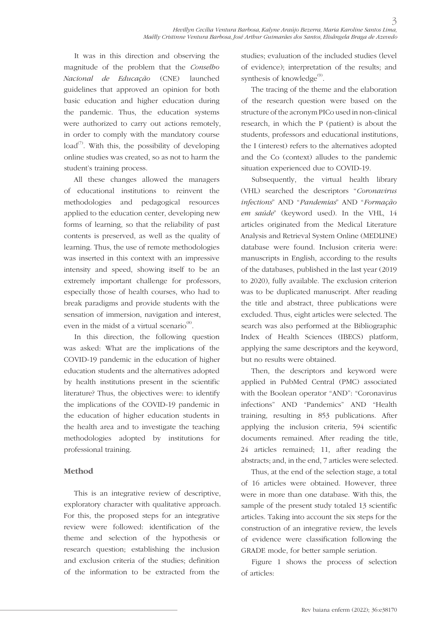It was in this direction and observing the magnitude of the problem that the *Conselho Nacional de Educação* (CNE) launched guidelines that approved an opinion for both basic education and higher education during the pandemic. Thus, the education systems were authorized to carry out actions remotely, in order to comply with the mandatory course  $load^{(7)}$ . With this, the possibility of developing online studies was created, so as not to harm the student's training process.

All these changes allowed the managers of educational institutions to reinvent the methodologies and pedagogical resources applied to the education center, developing new forms of learning, so that the reliability of past contents is preserved, as well as the quality of learning. Thus, the use of remote methodologies was inserted in this context with an impressive intensity and speed, showing itself to be an extremely important challenge for professors, especially those of health courses, who had to break paradigms and provide students with the sensation of immersion, navigation and interest, even in the midst of a virtual scenario $^{(8)}$ .

In this direction, the following question was asked: What are the implications of the COVID-19 pandemic in the education of higher education students and the alternatives adopted by health institutions present in the scientific literature? Thus, the objectives were: to identify the implications of the COVID-19 pandemic in the education of higher education students in the health area and to investigate the teaching methodologies adopted by institutions for professional training.

### **Method**

This is an integrative review of descriptive, exploratory character with qualitative approach. For this, the proposed steps for an integrative review were followed: identification of the theme and selection of the hypothesis or research question; establishing the inclusion and exclusion criteria of the studies; definition of the information to be extracted from the

studies; evaluation of the included studies (level of evidence); interpretation of the results; and synthesis of knowledge $^{\circledcirc}$ .

The tracing of the theme and the elaboration of the research question were based on the structure of the acronym PICo used in non-clinical research, in which the P (patient) is about the students, professors and educational institutions, the I (interest) refers to the alternatives adopted and the Co (context) alludes to the pandemic situation experienced due to COVID-19.

Subsequently, the virtual health library (VHL) searched the descriptors "*Coronavirus infections*" AND "*Pandemias*" AND "*Formação em saúde*" (keyword used). In the VHL, 14 articles originated from the Medical Literature Analysis and Retrieval System Online (MEDLINE) database were found. Inclusion criteria were: manuscripts in English, according to the results of the databases, published in the last year (2019 to 2020), fully available. The exclusion criterion was to be duplicated manuscript. After reading the title and abstract, three publications were excluded. Thus, eight articles were selected. The search was also performed at the Bibliographic Index of Health Sciences (IBECS) platform, applying the same descriptors and the keyword, but no results were obtained.

Then, the descriptors and keyword were applied in PubMed Central (PMC) associated with the Boolean operator "AND": "Coronavirus infections" AND "Pandemics" AND "Health training, resulting in 853 publications. After applying the inclusion criteria, 594 scientific documents remained. After reading the title, 24 articles remained; 11, after reading the abstracts; and, in the end, 7 articles were selected.

Thus, at the end of the selection stage, a total of 16 articles were obtained. However, three were in more than one database. With this, the sample of the present study totaled 13 scientific articles. Taking into account the six steps for the construction of an integrative review, the levels of evidence were classification following the GRADE mode, for better sample seriation.

Figure 1 shows the process of selection of articles: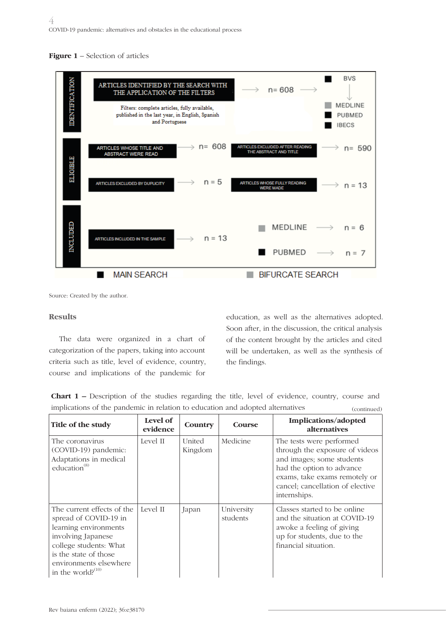



Source: Created by the author.

#### **Results**

The data were organized in a chart of categorization of the papers, taking into account criteria such as title, level of evidence, country, course and implications of the pandemic for

education, as well as the alternatives adopted. Soon after, in the discussion, the critical analysis of the content brought by the articles and cited will be undertaken, as well as the synthesis of the findings.

| <b>Chart 1</b> – Description of the studies regarding the title, level of evidence, country, course and |             |
|---------------------------------------------------------------------------------------------------------|-------------|
| implications of the pandemic in relation to education and adopted alternatives                          | (continued) |

| Title of the study                                                                                                                                                                                         | Level of<br>evidence | Country           | Course                 | Implications/adopted<br>alternatives                                                                                                                                                                      |
|------------------------------------------------------------------------------------------------------------------------------------------------------------------------------------------------------------|----------------------|-------------------|------------------------|-----------------------------------------------------------------------------------------------------------------------------------------------------------------------------------------------------------|
| The coronavirus<br>(COVID-19) pandemic:<br>Adaptations in medical<br>education <sup>(8)</sup>                                                                                                              | Level II             | United<br>Kingdom | Medicine               | The tests were performed<br>through the exposure of videos<br>and images; some students<br>had the option to advance<br>exams, take exams remotely or<br>cancel; cancellation of elective<br>internships. |
| The current effects of the<br>spread of COVID-19 in<br>learning environments<br>involving Japanese<br>college students: What<br>is the state of those<br>environments elsewhere<br>in the world? $^{(10)}$ | Level II             | Japan             | University<br>students | Classes started to be online<br>and the situation at COVID-19<br>awoke a feeling of giving<br>up for students, due to the<br>financial situation.                                                         |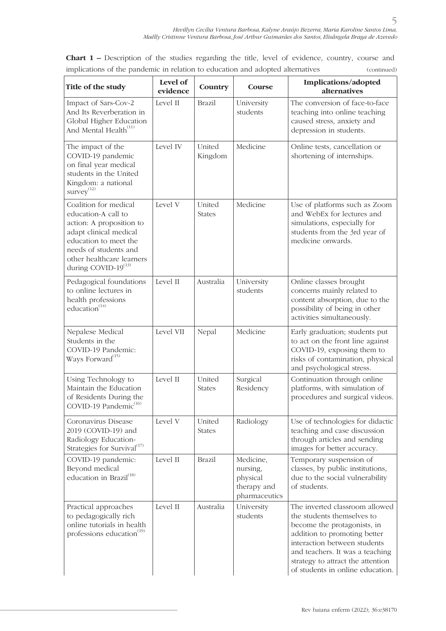**Chart 1 –** Description of the studies regarding the title, level of evidence, country, course and implications of the pandemic in relation to education and adopted alternatives (continued)

| Title of the study                                                                                                                                                                                             | Level of<br>evidence | Country                 | Course                                                            | Implications/adopted<br>alternatives                                                                                                                                                                                                                                    |
|----------------------------------------------------------------------------------------------------------------------------------------------------------------------------------------------------------------|----------------------|-------------------------|-------------------------------------------------------------------|-------------------------------------------------------------------------------------------------------------------------------------------------------------------------------------------------------------------------------------------------------------------------|
| Impact of Sars-Cov-2<br>And Its Reverberation in<br>Global Higher Education<br>And Mental Health <sup>(11)</sup>                                                                                               | Level II             | <b>Brazil</b>           | University<br>students                                            | The conversion of face-to-face<br>teaching into online teaching<br>caused stress, anxiety and<br>depression in students.                                                                                                                                                |
| The impact of the<br>COVID-19 pandemic<br>on final year medical<br>students in the United<br>Kingdom: a national<br>$s$ urvey $^{(12)}$                                                                        | Level IV             | United<br>Kingdom       | Medicine                                                          | Online tests, cancellation or<br>shortening of internships.                                                                                                                                                                                                             |
| Coalition for medical<br>education-A call to<br>action: A proposition to<br>adapt clinical medical<br>education to meet the<br>needs of students and<br>other healthcare learners<br>during COVID- $19^{(13)}$ | Level V              | United<br><b>States</b> | Medicine                                                          | Use of platforms such as Zoom<br>and WebEx for lectures and<br>simulations, especially for<br>students from the 3rd year of<br>medicine onwards.                                                                                                                        |
| Pedagogical foundations<br>to online lectures in<br>health professions<br>education $(14)$                                                                                                                     | Level II             | Australia               | University<br>students                                            | Online classes brought<br>concerns mainly related to<br>content absorption, due to the<br>possibility of being in other<br>activities simultaneously.                                                                                                                   |
| Nepalese Medical<br>Students in the<br>COVID-19 Pandemic:<br>Ways Forward <sup>(15)</sup>                                                                                                                      | Level VII            | Nepal                   | Medicine                                                          | Early graduation; students put<br>to act on the front line against<br>COVID-19, exposing them to<br>risks of contamination, physical<br>and psychological stress.                                                                                                       |
| Using Technology to<br>Maintain the Education<br>of Residents During the<br>COVID-19 Pandemic <sup>(16)</sup>                                                                                                  | Level II             | United<br><b>States</b> | Surgical<br>Residency                                             | Continuation through online<br>platforms, with simulation of<br>procedures and surgical videos.                                                                                                                                                                         |
| Coronavirus Disease<br>2019 (COVID-19) and<br>Radiology Education-<br>Strategies for Survival <sup>(17)</sup>                                                                                                  | Level V              | United<br><b>States</b> | Radiology                                                         | Use of technologies for didactic<br>teaching and case discussion<br>through articles and sending<br>images for better accuracy.                                                                                                                                         |
| COVID-19 pandemic:<br>Beyond medical<br>education in Brazil <sup>(18)</sup>                                                                                                                                    | Level II             | <b>Brazil</b>           | Medicine,<br>nursing,<br>physical<br>therapy and<br>pharmaceutics | Temporary suspension of<br>classes, by public institutions,<br>due to the social vulnerability<br>of students.                                                                                                                                                          |
| Practical approaches<br>to pedagogically rich<br>online tutorials in health<br>professions education <sup>(19)</sup>                                                                                           | Level II             | Australia               | University<br>students                                            | The inverted classroom allowed<br>the students themselves to<br>become the protagonists, in<br>addition to promoting better<br>interaction between students<br>and teachers. It was a teaching<br>strategy to attract the attention<br>of students in online education. |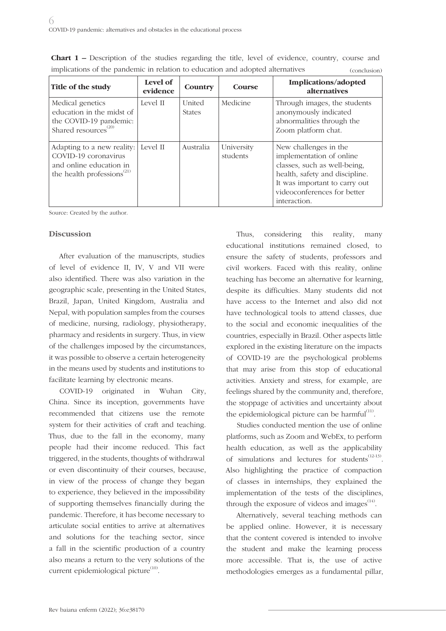| Title of the study                                                                                                                   | Level of<br>evidence | Country                        | Course                 | Implications/adopted<br>alternatives                                                                                                                                                                |
|--------------------------------------------------------------------------------------------------------------------------------------|----------------------|--------------------------------|------------------------|-----------------------------------------------------------------------------------------------------------------------------------------------------------------------------------------------------|
| Medical genetics<br>education in the midst of<br>the COVID-19 pandemic:<br>Shared resources <sup>(20)</sup>                          | Level II             | <b>United</b><br><b>States</b> | Medicine               | Through images, the students<br>anonymously indicated<br>abnormalities through the<br>Zoom platform chat.                                                                                           |
| Adapting to a new reality:<br>COVID-19 coronavirus<br>and online education in<br>the health professions <sup><math>(21)</math></sup> | Level II             | Australia                      | University<br>students | New challenges in the<br>implementation of online<br>classes, such as well-being,<br>health, safety and discipline.<br>It was important to carry out<br>videoconferences for better<br>interaction. |

**Chart 1 –** Description of the studies regarding the title, level of evidence, country, course and implications of the pandemic in relation to education and adopted alternatives (conclusion)

Source: Created by the author.

#### **Discussion**

After evaluation of the manuscripts, studies of level of evidence II, IV, V and VII were also identified. There was also variation in the geographic scale, presenting in the United States, Brazil, Japan, United Kingdom, Australia and Nepal, with population samples from the courses of medicine, nursing, radiology, physiotherapy, pharmacy and residents in surgery. Thus, in view of the challenges imposed by the circumstances, it was possible to observe a certain heterogeneity in the means used by students and institutions to facilitate learning by electronic means.

COVID-19 originated in Wuhan City, China. Since its inception, governments have recommended that citizens use the remote system for their activities of craft and teaching. Thus, due to the fall in the economy, many people had their income reduced. This fact triggered, in the students, thoughts of withdrawal or even discontinuity of their courses, because, in view of the process of change they began to experience, they believed in the impossibility of supporting themselves financially during the pandemic. Therefore, it has become necessary to articulate social entities to arrive at alternatives and solutions for the teaching sector, since a fall in the scientific production of a country also means a return to the very solutions of the current epidemiological picture $(10)$ .

Thus, considering this reality, many educational institutions remained closed, to ensure the safety of students, professors and civil workers. Faced with this reality, online teaching has become an alternative for learning, despite its difficulties. Many students did not have access to the Internet and also did not have technological tools to attend classes, due to the social and economic inequalities of the countries, especially in Brazil. Other aspects little explored in the existing literature on the impacts of COVID-19 are the psychological problems that may arise from this stop of educational activities. Anxiety and stress, for example, are feelings shared by the community and, therefore, the stoppage of activities and uncertainty about the epidemiological picture can be harmful $(11)$ .

Studies conducted mention the use of online platforms, such as Zoom and WebEx, to perform health education, as well as the applicability of simulations and lectures for students $(12-13)$ . Also highlighting the practice of compaction of classes in internships, they explained the implementation of the tests of the disciplines, through the exposure of videos and images $^{(14)}$ .

Alternatively, several teaching methods can be applied online. However, it is necessary that the content covered is intended to involve the student and make the learning process more accessible. That is, the use of active methodologies emerges as a fundamental pillar,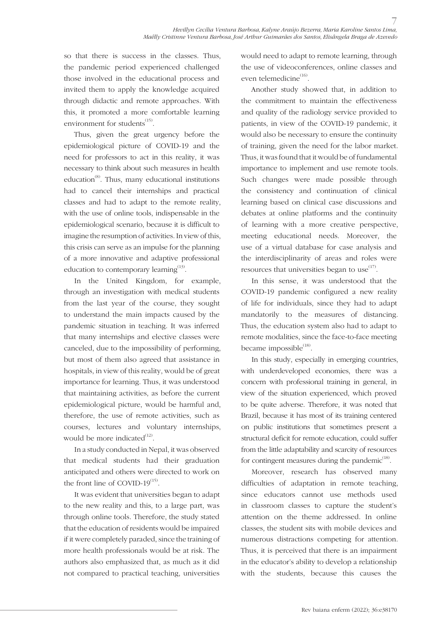so that there is success in the classes. Thus, the pandemic period experienced challenged those involved in the educational process and invited them to apply the knowledge acquired through didactic and remote approaches. With this, it promoted a more comfortable learning environment for students $^{(15)}$ .

Thus, given the great urgency before the epidemiological picture of COVID-19 and the need for professors to act in this reality, it was necessary to think about such measures in health education<sup>(8)</sup>. Thus, many educational institutions had to cancel their internships and practical classes and had to adapt to the remote reality, with the use of online tools, indispensable in the epidemiological scenario, because it is difficult to imagine the resumption of activities. In view of this, this crisis can serve as an impulse for the planning of a more innovative and adaptive professional education to contemporary learning<sup>(13)</sup>.

In the United Kingdom, for example, through an investigation with medical students from the last year of the course, they sought to understand the main impacts caused by the pandemic situation in teaching. It was inferred that many internships and elective classes were canceled, due to the impossibility of performing, but most of them also agreed that assistance in hospitals, in view of this reality, would be of great importance for learning. Thus, it was understood that maintaining activities, as before the current epidemiological picture, would be harmful and, therefore, the use of remote activities, such as courses, lectures and voluntary internships, would be more indicated<sup>(12)</sup>.

In a study conducted in Nepal, it was observed that medical students had their graduation anticipated and others were directed to work on the front line of COVID- $19^{(15)}$ .

It was evident that universities began to adapt to the new reality and this, to a large part, was through online tools. Therefore, the study stated that the education of residents would be impaired if it were completely paraded, since the training of more health professionals would be at risk. The authors also emphasized that, as much as it did not compared to practical teaching, universities would need to adapt to remote learning, through the use of videoconferences, online classes and even telemedicine<sup>(16)</sup>.

Another study showed that, in addition to the commitment to maintain the effectiveness and quality of the radiology service provided to patients, in view of the COVID-19 pandemic, it would also be necessary to ensure the continuity of training, given the need for the labor market. Thus, it was found that it would be of fundamental importance to implement and use remote tools. Such changes were made possible through the consistency and continuation of clinical learning based on clinical case discussions and debates at online platforms and the continuity of learning with a more creative perspective, meeting educational needs. Moreover, the use of a virtual database for case analysis and the interdisciplinarity of areas and roles were resources that universities began to use $^{(17)}$ .

In this sense, it was understood that the COVID-19 pandemic configured a new reality of life for individuals, since they had to adapt mandatorily to the measures of distancing. Thus, the education system also had to adapt to remote modalities, since the face-to-face meeting became impossible<sup>(18)</sup>.

In this study, especially in emerging countries, with underdeveloped economies, there was a concern with professional training in general, in view of the situation experienced, which proved to be quite adverse. Therefore, it was noted that Brazil, because it has most of its training centered on public institutions that sometimes present a structural deficit for remote education, could suffer from the little adaptability and scarcity of resources for contingent measures during the pandemic $<sup>(18)</sup>$ .</sup>

Moreover, research has observed many difficulties of adaptation in remote teaching, since educators cannot use methods used in classroom classes to capture the student's attention on the theme addressed. In online classes, the student sits with mobile devices and numerous distractions competing for attention. Thus, it is perceived that there is an impairment in the educator's ability to develop a relationship with the students, because this causes the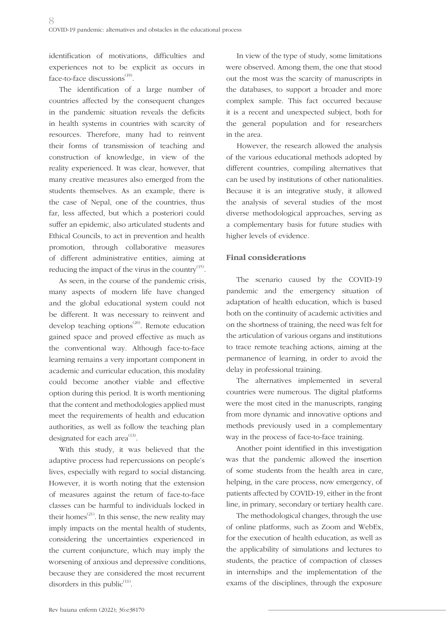identification of motivations, difficulties and experiences not to be explicit as occurs in face-to-face discussions $(19)$ .

The identification of a large number of countries affected by the consequent changes in the pandemic situation reveals the deficits in health systems in countries with scarcity of resources. Therefore, many had to reinvent their forms of transmission of teaching and construction of knowledge, in view of the reality experienced. It was clear, however, that many creative measures also emerged from the students themselves. As an example, there is the case of Nepal, one of the countries, thus far, less affected, but which a posteriori could suffer an epidemic, also articulated students and Ethical Councils, to act in prevention and health promotion, through collaborative measures of different administrative entities, aiming at reducing the impact of the virus in the country $^{(15)}$ .

As seen, in the course of the pandemic crisis, many aspects of modern life have changed and the global educational system could not be different. It was necessary to reinvent and develop teaching options<sup> $(20)$ </sup>. Remote education gained space and proved effective as much as the conventional way. Although face-to-face learning remains a very important component in academic and curricular education, this modality could become another viable and effective option during this period. It is worth mentioning that the content and methodologies applied must meet the requirements of health and education authorities, as well as follow the teaching plan designated for each area<sup>(13)</sup>.

With this study, it was believed that the adaptive process had repercussions on people's lives, especially with regard to social distancing. However, it is worth noting that the extension of measures against the return of face-to-face classes can be harmful to individuals locked in their homes $^{(21)}$ . In this sense, the new reality may imply impacts on the mental health of students, considering the uncertainties experienced in the current conjuncture, which may imply the worsening of anxious and depressive conditions, because they are considered the most recurrent disorders in this public $<sup>(11)</sup>$ .</sup>

In view of the type of study, some limitations were observed. Among them, the one that stood out the most was the scarcity of manuscripts in the databases, to support a broader and more complex sample. This fact occurred because it is a recent and unexpected subject, both for the general population and for researchers in the area.

However, the research allowed the analysis of the various educational methods adopted by different countries, compiling alternatives that can be used by institutions of other nationalities. Because it is an integrative study, it allowed the analysis of several studies of the most diverse methodological approaches, serving as a complementary basis for future studies with higher levels of evidence.

### **Final considerations**

The scenario caused by the COVID-19 pandemic and the emergency situation of adaptation of health education, which is based both on the continuity of academic activities and on the shortness of training, the need was felt for the articulation of various organs and institutions to trace remote teaching actions, aiming at the permanence of learning, in order to avoid the delay in professional training.

The alternatives implemented in several countries were numerous. The digital platforms were the most cited in the manuscripts, ranging from more dynamic and innovative options and methods previously used in a complementary way in the process of face-to-face training.

Another point identified in this investigation was that the pandemic allowed the insertion of some students from the health area in care, helping, in the care process, now emergency, of patients affected by COVID-19, either in the front line, in primary, secondary or tertiary health care.

The methodological changes, through the use of online platforms, such as Zoom and WebEx, for the execution of health education, as well as the applicability of simulations and lectures to students, the practice of compaction of classes in internships and the implementation of the exams of the disciplines, through the exposure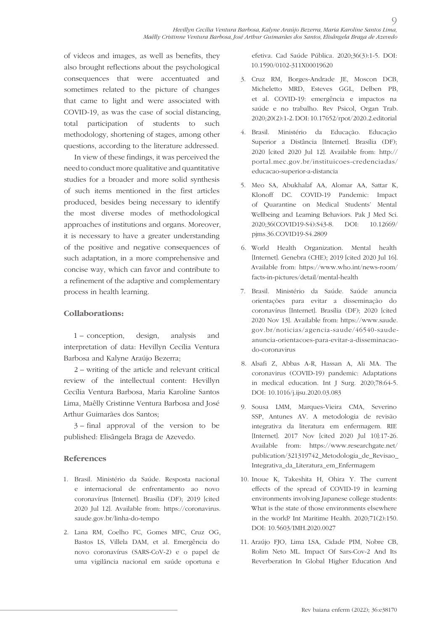of videos and images, as well as benefits, they also brought reflections about the psychological consequences that were accentuated and sometimes related to the picture of changes that came to light and were associated with COVID-19, as was the case of social distancing, total participation of students to such methodology, shortening of stages, among other questions, according to the literature addressed.

In view of these findings, it was perceived the need to conduct more qualitative and quantitative studies for a broader and more solid synthesis of such items mentioned in the first articles produced, besides being necessary to identify the most diverse modes of methodological approaches of institutions and organs. Moreover, it is necessary to have a greater understanding of the positive and negative consequences of such adaptation, in a more comprehensive and concise way, which can favor and contribute to a refinement of the adaptive and complementary process in health learning.

### **Collaborations:**

1 – conception, design, analysis and interpretation of data: Hevillyn Cecília Ventura Barbosa and Kalyne Araújo Bezerra;

2 – writing of the article and relevant critical review of the intellectual content: Hevillyn Cecília Ventura Barbosa, Maria Karoline Santos Lima, Maêlly Cristinne Ventura Barbosa and José Arthur Guimarães dos Santos;

3 – final approval of the version to be published: Elisângela Braga de Azevedo.

#### **References**

- 1. Brasil. Ministério da Saúde. Resposta nacional e internacional de enfrentamento ao novo coronavírus [Internet]. Brasília (DF); 2019 [cited 2020 Jul 12]. Available from: https://coronavirus. saude.gov.br/linha-do-tempo
- 2. Lana RM, Coelho FC, Gomes MFC, Cruz OG, Bastos LS, Villela DAM, et al. Emergência do novo coronavírus (SARS-CoV-2) e o papel de uma vigilância nacional em saúde oportuna e

efetiva. Cad Saúde Pública. 2020;36(3):1-5. DOI: 10.1590/0102-311X00019620

 $\overline{O}$ 

- 3. Cruz RM, Borges-Andrade JE, Moscon DCB, Micheletto MRD, Esteves GGL, Delben PB, et al. COVID-19: emergência e impactos na saúde e no trabalho. Rev Psicol, Organ Trab. 2020;20(2):1-2. DOI: 10.17652/rpot/2020.2.editorial
- 4. Brasil. Ministério da Educação. Educação Superior a Distância [Internet]. Brasília (DF); 2020 [cited 2020 Jul 12]. Available from: http:// portal.mec.gov.br/instituicoes-credenciadas/ educacao-superior-a-distancia
- 5. Meo SA, Abukhalaf AA, Alomar AA, Sattar K, Klonoff DC. COVID-19 Pandemic: Impact of Quarantine on Medical Students' Mental Wellbeing and Learning Behaviors. Pak J Med Sci. 2020;36(COVID19-S4):S43-8. DOI: 10.12669/ pjms.36.COVID19-S4.2809
- 6. World Health Organization. Mental health [Internet]. Genebra (CHE); 2019 [cited 2020 Jul 16]. Available from: https://www.who.int/news-room/ facts-in-pictures/detail/mental-health
- 7. Brasil. Ministério da Saúde. Saúde anuncia orientações para evitar a disseminação do coronavírus [Internet]. Brasília (DF); 2020 [cited 2020 Nov 13]. Available from: https://www.saude. gov.br/noticias/agencia-saude/46540-saudeanuncia-orientacoes-para-evitar-a-disseminacaodo-coronavirus
- 8. Alsafi Z, Abbas A-R, Hassan A, Ali MA. The coronavirus (COVID-19) pandemic: Adaptations in medical education. Int J Surg. 2020;78:64-5. DOI: 10.1016/j.ijsu.2020.03.083
- 9. Sousa LMM, Marques-Vieira CMA, Severino SSP, Antunes AV. A metodologia de revisão integrativa da literatura em enfermagem. RIE [Internet]. 2017 Nov [cited 2020 Jul 10]:17-26. Available from: https://www.researchgate.net/ publication/321319742\_Metodologia\_de\_Revisao\_ Integrativa\_da\_Literatura\_em\_Enfermagem
- 10. Inoue K, Takeshita H, Ohira Y. The current effects of the spread of COVID-19 in learning environments involving Japanese college students: What is the state of those environments elsewhere in the world? Int Maritime Health. 2020;71(2):150. DOI: 10.5603/IMH.2020.0027
- 11. Araújo FJO, Lima LSA, Cidade PIM, Nobre CB, Rolim Neto ML. Impact Of Sars-Cov-2 And Its Reverberation In Global Higher Education And